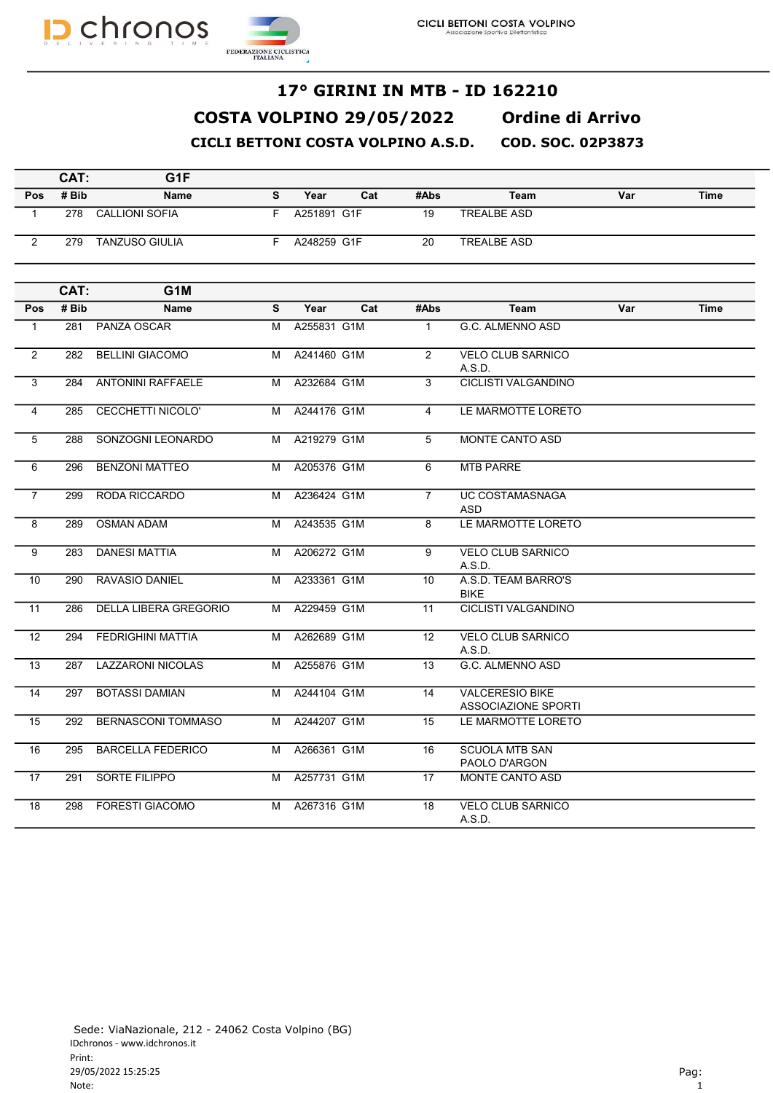



#### COSTA VOLPINO 29/05/2022 Ordine di Arrivo CICLI BETTONI COSTA VOLPINO A.S.D. COD. SOC. 02P3873 17° GIRINI IN MTB - ID 162210

|     | CAT:  | G1F                   |   |             |     |      |                    |     |             |
|-----|-------|-----------------------|---|-------------|-----|------|--------------------|-----|-------------|
| Pos | # Bib | <b>Name</b>           | s | Year        | Cat | #Abs | Team               | Var | <b>Time</b> |
|     | 278   | <b>CALLIONI SOFIA</b> |   | A251891 G1F |     | 19   | <b>TREALBE ASD</b> |     |             |
| ົ   | 279   | <b>TANZUSO GIULIA</b> |   | A248259 G1F |     | 20   | <b>TREALBE ASD</b> |     |             |
|     |       |                       |   |             |     |      |                    |     |             |

|                | CAT:  | G <sub>1</sub> M             |   |             |     |                |                                                      |     |             |
|----------------|-------|------------------------------|---|-------------|-----|----------------|------------------------------------------------------|-----|-------------|
| Pos            | # Bib | <b>Name</b>                  | S | Year        | Cat | #Abs           | Team                                                 | Var | <b>Time</b> |
| $\mathbf{1}$   | 281   | PANZA OSCAR                  | м | A255831 G1M |     | $\mathbf{1}$   | G.C. ALMENNO ASD                                     |     |             |
| 2              | 282   | <b>BELLINI GIACOMO</b>       | м | A241460 G1M |     | $\mathcal{P}$  | <b>VELO CLUB SARNICO</b><br>A.S.D.                   |     |             |
| 3              | 284   | <b>ANTONINI RAFFAELE</b>     | м | A232684 G1M |     | 3              | <b>CICLISTI VALGANDINO</b>                           |     |             |
| $\overline{4}$ | 285   | CECCHETTI NICOLO'            | м | A244176 G1M |     | 4              | LE MARMOTTE LORETO                                   |     |             |
| 5              | 288   | SONZOGNI LEONARDO            | м | A219279 G1M |     | 5              | <b>MONTE CANTO ASD</b>                               |     |             |
| 6              | 296   | <b>BENZONI MATTEO</b>        | м | A205376 G1M |     | 6              | <b>MTB PARRE</b>                                     |     |             |
| $\overline{7}$ | 299   | RODA RICCARDO                | М | A236424 G1M |     | $\overline{7}$ | UC COSTAMASNAGA<br><b>ASD</b>                        |     |             |
| 8              | 289   | <b>OSMAN ADAM</b>            | M | A243535 G1M |     | 8              | LE MARMOTTE LORETO                                   |     |             |
| 9              | 283   | <b>DANESI MATTIA</b>         | M | A206272 G1M |     | 9              | <b>VELO CLUB SARNICO</b><br>A.S.D.                   |     |             |
| 10             | 290   | <b>RAVASIO DANIEL</b>        | м | A233361 G1M |     | 10             | A.S.D. TEAM BARRO'S<br><b>BIKE</b>                   |     |             |
| 11             | 286   | <b>DELLA LIBERA GREGORIO</b> | м | A229459 G1M |     | 11             | <b>CICLISTI VALGANDINO</b>                           |     |             |
| 12             | 294   | <b>FEDRIGHINI MATTIA</b>     | M | A262689 G1M |     | 12             | <b>VELO CLUB SARNICO</b><br>A.S.D.                   |     |             |
| 13             | 287   | <b>LAZZARONI NICOLAS</b>     | M | A255876 G1M |     | 13             | G.C. ALMENNO ASD                                     |     |             |
| 14             | 297   | <b>BOTASSI DAMIAN</b>        | м | A244104 G1M |     | 14             | <b>VALCERESIO BIKE</b><br><b>ASSOCIAZIONE SPORTI</b> |     |             |
| 15             | 292   | <b>BERNASCONI TOMMASO</b>    | м | A244207 G1M |     | 15             | LE MARMOTTE LORETO                                   |     |             |
| 16             | 295   | <b>BARCELLA FEDERICO</b>     | м | A266361 G1M |     | 16             | <b>SCUOLA MTB SAN</b><br>PAOLO D'ARGON               |     |             |
| 17             | 291   | <b>SORTE FILIPPO</b>         | м | A257731 G1M |     | 17             | MONTE CANTO ASD                                      |     |             |
| 18             | 298   | <b>FORESTI GIACOMO</b>       | м | A267316 G1M |     | 18             | <b>VELO CLUB SARNICO</b><br>A.S.D.                   |     |             |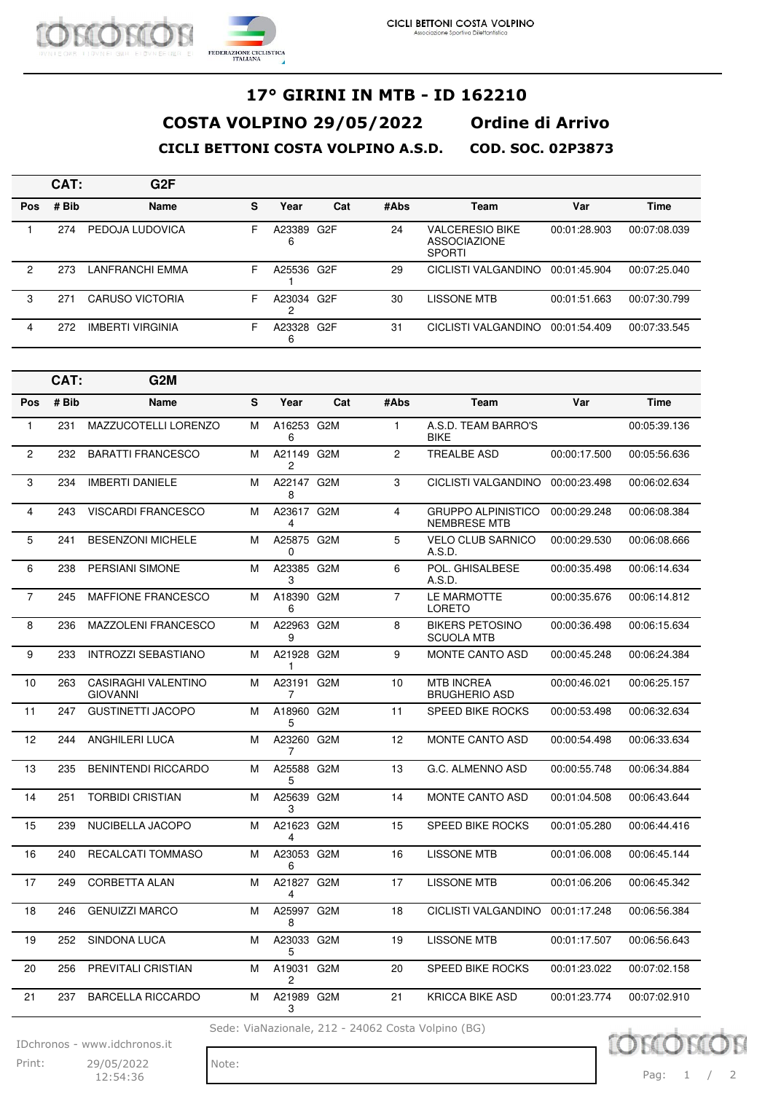|            | CAT:  | G <sub>2</sub> F        |   |                 |     |      |                                                                |              |              |
|------------|-------|-------------------------|---|-----------------|-----|------|----------------------------------------------------------------|--------------|--------------|
| <b>Pos</b> | # Bib | <b>Name</b>             | s | Year            | Cat | #Abs | Team                                                           | Var          | Time         |
|            | 274   | PEDOJA LUDOVICA         | F | A23389<br>6     | G2F | 24   | <b>VALCERESIO BIKE</b><br><b>ASSOCIAZIONE</b><br><b>SPORTI</b> | 00:01:28.903 | 00:07:08.039 |
| 2          | 273   | LANFRANCHI EMMA         | F | A25536 G2F      |     | 29   | CICLISTI VALGANDINO                                            | 00:01:45.904 | 00:07:25.040 |
| 3          | 271   | <b>CARUSO VICTORIA</b>  | F | A23034 G2F<br>o |     | 30   | LISSONE MTB                                                    | 00:01:51.663 | 00:07:30.799 |
| 4          | 272   | <b>IMBERTI VIRGINIA</b> | F | A23328 G2F<br>6 |     | 31   | CICLISTI VALGANDINO                                            | 00:01:54.409 | 00:07:33.545 |

|                | CAT:  | G <sub>2</sub> M                              |   |                 |                  |                |                                                  |              |              |
|----------------|-------|-----------------------------------------------|---|-----------------|------------------|----------------|--------------------------------------------------|--------------|--------------|
| Pos            | # Bib | Name                                          | S | Year            | Cat              | #Abs           | Team                                             | Var          | <b>Time</b>  |
| $\mathbf{1}$   | 231   | MAZZUCOTELLI LORENZO                          | M | A16253 G2M<br>6 |                  | $\mathbf{1}$   | A.S.D. TEAM BARRO'S<br><b>BIKE</b>               |              | 00:05:39.136 |
| $\mathbf{2}$   | 232   | <b>BARATTI FRANCESCO</b>                      | м | A21149 G2M<br>2 |                  | 2              | <b>TREALBE ASD</b>                               | 00:00:17.500 | 00:05:56.636 |
| 3              | 234   | <b>IMBERTI DANIELE</b>                        | M | A22147 G2M<br>8 |                  | 3              | CICLISTI VALGANDINO                              | 00:00:23.498 | 00:06:02.634 |
| 4              | 243   | <b>VISCARDI FRANCESCO</b>                     | м | A23617 G2M<br>4 |                  | $\overline{4}$ | <b>GRUPPO ALPINISTICO</b><br><b>NEMBRESE MTB</b> | 00:00:29.248 | 00:06:08.384 |
| 5              | 241   | <b>BESENZONI MICHELE</b>                      | M | A25875 G2M<br>0 |                  | 5              | <b>VELO CLUB SARNICO</b><br>A.S.D.               | 00:00:29.530 | 00:06:08.666 |
| 6              | 238   | <b>PERSIANI SIMONE</b>                        | м | A23385 G2M<br>3 |                  | 6              | POL. GHISALBESE<br>A.S.D.                        | 00:00:35.498 | 00:06:14.634 |
| $\overline{7}$ | 245   | <b>MAFFIONE FRANCESCO</b>                     | м | A18390 G2M<br>6 |                  | $\overline{7}$ | LE MARMOTTE<br><b>LORETO</b>                     | 00:00:35.676 | 00:06:14.812 |
| 8              | 236   | <b>MAZZOLENI FRANCESCO</b>                    | м | A22963 G2M<br>9 |                  | 8              | <b>BIKERS PETOSINO</b><br><b>SCUOLA MTB</b>      | 00:00:36.498 | 00:06:15.634 |
| 9              | 233   | <b>INTROZZI SEBASTIANO</b>                    | M | A21928 G2M<br>1 |                  | 9              | MONTE CANTO ASD                                  | 00:00:45.248 | 00:06:24.384 |
| 10             | 263   | <b>CASIRAGHI VALENTINO</b><br><b>GIOVANNI</b> | м | A23191 G2M<br>7 |                  | 10             | <b>MTB INCREA</b><br><b>BRUGHERIO ASD</b>        | 00:00:46.021 | 00:06:25.157 |
| 11             | 247   | <b>GUSTINETTI JACOPO</b>                      | М | A18960 G2M<br>5 |                  | 11             | <b>SPEED BIKE ROCKS</b>                          | 00:00:53.498 | 00:06:32.634 |
| 12             | 244   | <b>ANGHILERI LUCA</b>                         | M | A23260 G2M<br>7 |                  | 12             | <b>MONTE CANTO ASD</b>                           | 00:00:54.498 | 00:06:33.634 |
| 13             | 235   | <b>BENINTENDI RICCARDO</b>                    | м | A25588 G2M<br>5 |                  | 13             | G.C. ALMENNO ASD                                 | 00:00:55.748 | 00:06:34.884 |
| 14             | 251   | <b>TORBIDI CRISTIAN</b>                       | М | A25639 G2M<br>3 |                  | 14             | MONTE CANTO ASD                                  | 00:01:04.508 | 00:06:43.644 |
| 15             | 239   | NUCIBELLA JACOPO                              | м | A21623 G2M<br>4 |                  | 15             | <b>SPEED BIKE ROCKS</b>                          | 00:01:05.280 | 00:06:44.416 |
| 16             | 240   | <b>RECALCATI TOMMASO</b>                      | м | A23053 G2M<br>6 |                  | 16             | <b>LISSONE MTB</b>                               | 00:01:06.008 | 00:06:45.144 |
| 17             | 249   | <b>CORBETTA ALAN</b>                          | м | A21827 G2M<br>4 |                  | 17             | <b>LISSONE MTB</b>                               | 00:01:06.206 | 00:06:45.342 |
| 18             | 246   | <b>GENUIZZI MARCO</b>                         | M | A25997 G2M<br>8 |                  | 18             | CICLISTI VALGANDINO                              | 00:01:17.248 | 00:06:56.384 |
| 19             | 252   | <b>SINDONA LUCA</b>                           | м | A23033 G2M<br>5 |                  | 19             | <b>LISSONE MTB</b>                               | 00:01:17.507 | 00:06:56.643 |
| 20             | 256   | PREVITALI CRISTIAN                            | M | A19031<br>2     | G <sub>2</sub> M | 20             | <b>SPEED BIKE ROCKS</b>                          | 00:01:23.022 | 00:07:02.158 |
| 21             | 237   | <b>BARCELLA RICCARDO</b>                      | м | A21989 G2M<br>3 |                  | 21             | <b>KRICCA BIKE ASD</b>                           | 00:01:23.774 | 00:07:02.910 |

Sede: ViaNazionale, 212 - 24062 Costa Volpino (BG)

IDchronos - www.idchronos.it

Print: 29/05/2022 Note: 12:54:36

**OBC** Pag: 1 / 2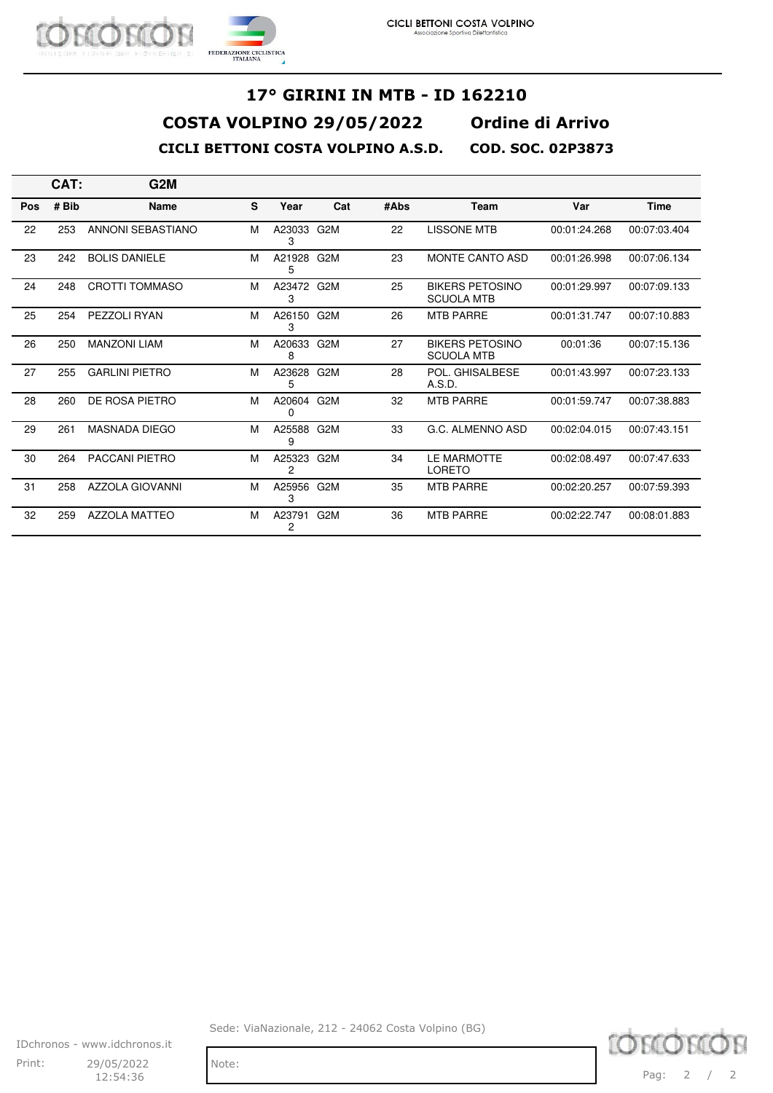

|            | CAT:  | G2M                    |   |                 |                  |      |                                             |              |              |
|------------|-------|------------------------|---|-----------------|------------------|------|---------------------------------------------|--------------|--------------|
| <b>Pos</b> | # Bib | <b>Name</b>            | s | Year            | Cat              | #Abs | <b>Team</b>                                 | Var          | <b>Time</b>  |
| 22         | 253   | ANNONI SEBASTIANO      | M | A23033<br>3     | G2M              | 22   | <b>LISSONE MTB</b>                          | 00:01:24.268 | 00:07:03.404 |
| 23         | 242   | <b>BOLIS DANIELE</b>   | M | A21928 G2M<br>5 |                  | 23   | <b>MONTE CANTO ASD</b>                      | 00:01:26.998 | 00:07:06.134 |
| 24         | 248   | <b>CROTTI TOMMASO</b>  | м | A23472 G2M<br>3 |                  | 25   | <b>BIKERS PETOSINO</b><br><b>SCUOLA MTB</b> | 00:01:29.997 | 00:07:09.133 |
| 25         | 254   | PEZZOLI RYAN           | м | A26150 G2M<br>3 |                  | 26   | <b>MTB PARRE</b>                            | 00:01:31.747 | 00:07:10.883 |
| 26         | 250   | <b>MANZONI LIAM</b>    | м | A20633 G2M<br>8 |                  | 27   | <b>BIKERS PETOSINO</b><br><b>SCUOLA MTB</b> | 00:01:36     | 00:07:15.136 |
| 27         | 255   | <b>GARLINI PIETRO</b>  | м | A23628 G2M<br>5 |                  | 28   | POL. GHISALBESE<br>A.S.D.                   | 00:01:43.997 | 00:07:23.133 |
| 28         | 260   | DE ROSA PIETRO         | м | A20604 G2M<br>0 |                  | 32   | <b>MTB PARRE</b>                            | 00:01:59.747 | 00:07:38.883 |
| 29         | 261   | <b>MASNADA DIEGO</b>   | м | A25588 G2M<br>9 |                  | 33   | G.C. ALMENNO ASD                            | 00:02:04.015 | 00:07:43.151 |
| 30         | 264   | <b>PACCANI PIETRO</b>  | м | A25323<br>2     | G2M              | 34   | LE MARMOTTE<br>LORETO                       | 00:02:08.497 | 00:07:47.633 |
| 31         | 258   | <b>AZZOLA GIOVANNI</b> | M | A25956 G2M<br>3 |                  | 35   | <b>MTB PARRE</b>                            | 00:02:20.257 | 00:07:59.393 |
| 32         | 259   | <b>AZZOLA MATTEO</b>   | м | A23791<br>2     | G <sub>2</sub> M | 36   | <b>MTB PARRE</b>                            | 00:02:22.747 | 00:08:01.883 |

IDchronos - www.idchronos.it Print: 29/05/2022 Note:  $12:54:36$ 

Sede: ViaNazionale, 212 - 24062 Costa Volpino (BG)

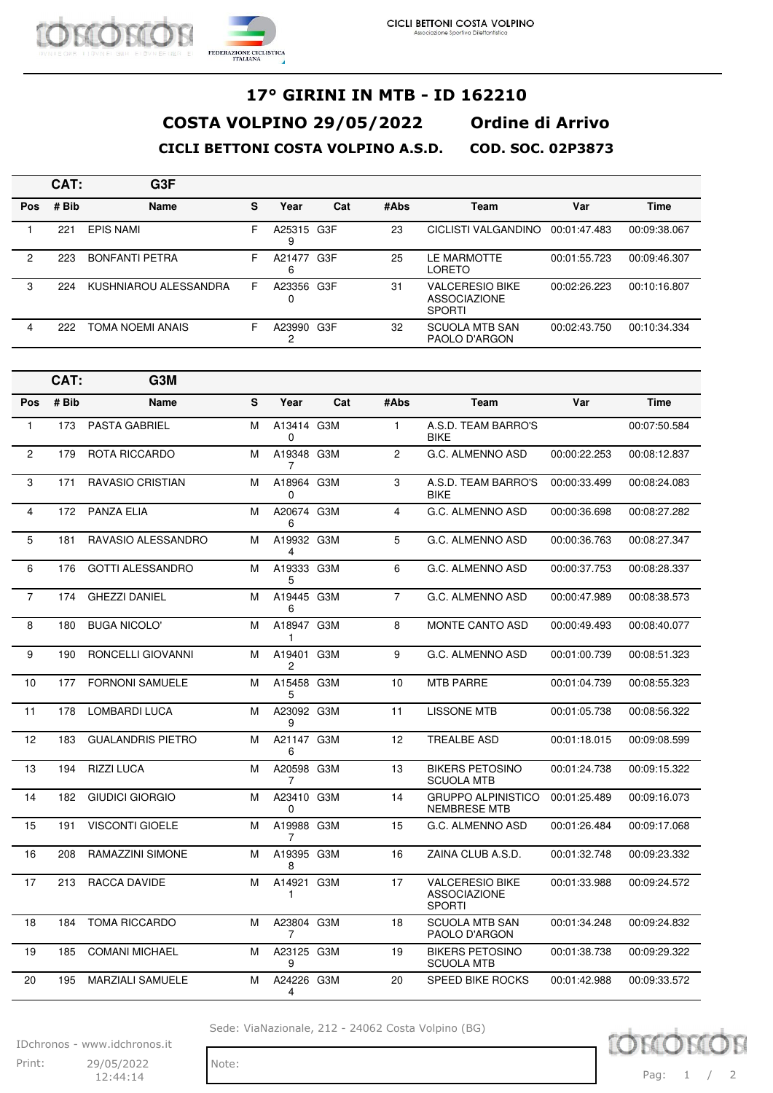|            | CAT:  | G3F                   |   |                 |     |      |                                                                |              |              |
|------------|-------|-----------------------|---|-----------------|-----|------|----------------------------------------------------------------|--------------|--------------|
| <b>Pos</b> | # Bib | <b>Name</b>           | s | Year            | Cat | #Abs | Team                                                           | Var          | <b>Time</b>  |
|            | 221   | <b>EPIS NAMI</b>      | F | A25315 G3F<br>9 |     | 23   | CICLISTI VALGANDINO                                            | 00:01:47.483 | 00:09:38.067 |
| 2          | 223   | <b>BONFANTI PETRA</b> | F | A21477<br>6     | G3F | 25   | LE MARMOTTE<br><b>LORETO</b>                                   | 00:01:55.723 | 00:09:46.307 |
| 3          | 224   | KUSHNIAROU ALESSANDRA | F | A23356<br>ი     | G3F | 31   | <b>VALCERESIO BIKE</b><br><b>ASSOCIAZIONE</b><br><b>SPORTI</b> | 00:02:26.223 | 00:10:16.807 |
| 4          | 222   | TOMA NOEMI ANAIS      | F | A23990          | G3F | 32   | <b>SCUOLA MTB SAN</b><br>PAOLO D'ARGON                         | 00:02:43.750 | 00:10:34.334 |

|                | CAT:  | G3M                      |   |                 |     |                |                                                                |              |              |
|----------------|-------|--------------------------|---|-----------------|-----|----------------|----------------------------------------------------------------|--------------|--------------|
| Pos            | # Bib | <b>Name</b>              | S | Year            | Cat | #Abs           | <b>Team</b>                                                    | Var          | <b>Time</b>  |
| $\mathbf{1}$   | 173   | <b>PASTA GABRIEL</b>     | M | A13414 G3M<br>0 |     | $\mathbf{1}$   | A.S.D. TEAM BARRO'S<br><b>BIKE</b>                             |              | 00:07:50.584 |
| $\mathbf{2}$   | 179   | ROTA RICCARDO            | M | A19348 G3M<br>7 |     | $\overline{c}$ | G.C. ALMENNO ASD                                               | 00:00:22.253 | 00:08:12.837 |
| 3              | 171   | <b>RAVASIO CRISTIAN</b>  | M | A18964 G3M<br>0 |     | 3              | A.S.D. TEAM BARRO'S<br><b>BIKE</b>                             | 00:00:33.499 | 00:08:24.083 |
| $\overline{4}$ | 172   | <b>PANZA ELIA</b>        | M | A20674 G3M<br>6 |     | $\overline{4}$ | G.C. ALMENNO ASD                                               | 00:00:36.698 | 00:08:27.282 |
| 5              | 181   | RAVASIO ALESSANDRO       | M | A19932 G3M<br>4 |     | 5              | G.C. ALMENNO ASD                                               | 00:00:36.763 | 00:08:27.347 |
| 6              | 176   | <b>GOTTI ALESSANDRO</b>  | M | A19333 G3M<br>5 |     | 6              | G.C. ALMENNO ASD                                               | 00:00:37.753 | 00:08:28.337 |
| $\overline{7}$ | 174   | <b>GHEZZI DANIEL</b>     | M | A19445 G3M<br>6 |     | $\overline{7}$ | G.C. ALMENNO ASD                                               | 00:00:47.989 | 00:08:38.573 |
| 8              | 180   | <b>BUGA NICOLO'</b>      | M | A18947 G3M<br>1 |     | 8              | <b>MONTE CANTO ASD</b>                                         | 00:00:49.493 | 00:08:40.077 |
| 9              | 190   | RONCELLI GIOVANNI        | M | A19401 G3M<br>2 |     | 9              | G.C. ALMENNO ASD                                               | 00:01:00.739 | 00:08:51.323 |
| 10             | 177   | <b>FORNONI SAMUELE</b>   | M | A15458 G3M<br>5 |     | 10             | <b>MTB PARRE</b>                                               | 00:01:04.739 | 00:08:55.323 |
| 11             | 178   | <b>LOMBARDI LUCA</b>     | M | A23092 G3M<br>9 |     | 11             | <b>LISSONE MTB</b>                                             | 00:01:05.738 | 00:08:56.322 |
| 12             | 183   | <b>GUALANDRIS PIETRO</b> | M | A21147 G3M<br>6 |     | 12             | <b>TREALBE ASD</b>                                             | 00:01:18.015 | 00:09:08.599 |
| 13             | 194   | <b>RIZZI LUCA</b>        | M | A20598 G3M<br>7 |     | 13             | <b>BIKERS PETOSINO</b><br><b>SCUOLA MTB</b>                    | 00:01:24.738 | 00:09:15.322 |
| 14             | 182   | <b>GIUDICI GIORGIO</b>   | M | A23410 G3M<br>0 |     | 14             | <b>GRUPPO ALPINISTICO</b><br><b>NEMBRESE MTB</b>               | 00:01:25.489 | 00:09:16.073 |
| 15             | 191   | <b>VISCONTI GIOELE</b>   | M | A19988 G3M<br>7 |     | 15             | G.C. ALMENNO ASD                                               | 00:01:26.484 | 00:09:17.068 |
| 16             | 208   | RAMAZZINI SIMONE         | M | A19395 G3M<br>8 |     | 16             | ZAINA CLUB A.S.D.                                              | 00:01:32.748 | 00:09:23.332 |
| 17             | 213   | RACCA DAVIDE             | M | A14921 G3M<br>1 |     | 17             | <b>VALCERESIO BIKE</b><br><b>ASSOCIAZIONE</b><br><b>SPORTI</b> | 00:01:33.988 | 00:09:24.572 |
| 18             | 184   | <b>TOMA RICCARDO</b>     | м | A23804 G3M<br>7 |     | 18             | <b>SCUOLA MTB SAN</b><br>PAOLO D'ARGON                         | 00:01:34.248 | 00:09:24.832 |
| 19             | 185   | <b>COMANI MICHAEL</b>    | м | A23125 G3M<br>9 |     | 19             | <b>BIKERS PETOSINO</b><br><b>SCUOLA MTB</b>                    | 00:01:38.738 | 00:09:29.322 |
| 20             | 195   | <b>MARZIALI SAMUELE</b>  | M | A24226 G3M<br>4 |     | 20             | <b>SPEED BIKE ROCKS</b>                                        | 00:01:42.988 | 00:09:33.572 |

Sede: ViaNazionale, 212 - 24062 Costa Volpino (BG)

IDchronos - www.idchronos.it Print: 29/05/2022 Note: 12:44:14

TOM Pag: 1 / 2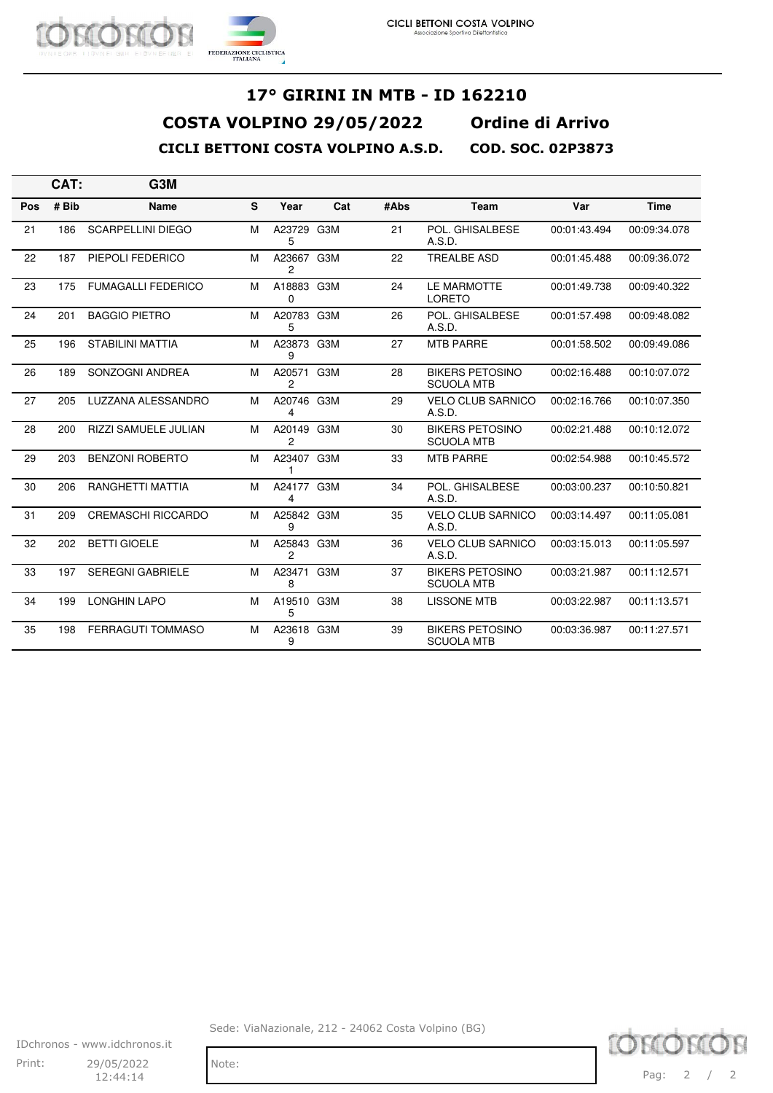

|     | CAT:  | G3M                         |   |                        |     |      |                                             |              |              |
|-----|-------|-----------------------------|---|------------------------|-----|------|---------------------------------------------|--------------|--------------|
| Pos | # Bib | <b>Name</b>                 | S | Year                   | Cat | #Abs | <b>Team</b>                                 | Var          | <b>Time</b>  |
| 21  | 186   | <b>SCARPELLINI DIEGO</b>    | м | A23729 G3M<br>5        |     | 21   | POL. GHISALBESE<br>A.S.D.                   | 00:01:43.494 | 00:09:34.078 |
| 22  | 187   | PIEPOLI FEDERICO            | M | A23667 G3M<br>2        |     | 22   | <b>TREALBE ASD</b>                          | 00:01:45.488 | 00:09:36.072 |
| 23  | 175   | <b>FUMAGALLI FEDERICO</b>   | м | A18883 G3M<br>$\Omega$ |     | 24   | LE MARMOTTE<br><b>LORETO</b>                | 00:01:49.738 | 00:09:40.322 |
| 24  | 201   | <b>BAGGIO PIETRO</b>        | м | A20783 G3M<br>5        |     | 26   | POL. GHISALBESE<br>A.S.D.                   | 00:01:57.498 | 00:09:48.082 |
| 25  | 196   | <b>STABILINI MATTIA</b>     | м | A23873 G3M<br>9        |     | 27   | <b>MTB PARRE</b>                            | 00:01:58.502 | 00:09:49.086 |
| 26  | 189   | SONZOGNI ANDREA             | м | A20571<br>2            | G3M | 28   | <b>BIKERS PETOSINO</b><br><b>SCUOLA MTB</b> | 00:02:16.488 | 00:10:07.072 |
| 27  | 205   | LUZZANA ALESSANDRO          | м | A20746 G3M<br>4        |     | 29   | <b>VELO CLUB SARNICO</b><br>A.S.D.          | 00:02:16.766 | 00:10:07.350 |
| 28  | 200   | <b>RIZZI SAMUELE JULIAN</b> | м | A20149 G3M<br>2        |     | 30   | <b>BIKERS PETOSINO</b><br><b>SCUOLA MTB</b> | 00:02:21.488 | 00:10:12.072 |
| 29  | 203   | <b>BENZONI ROBERTO</b>      | м | A23407 G3M<br>1        |     | 33   | <b>MTB PARRE</b>                            | 00:02:54.988 | 00:10:45.572 |
| 30  | 206   | <b>RANGHETTI MATTIA</b>     | м | A24177 G3M<br>4        |     | 34   | POL. GHISALBESE<br>A.S.D.                   | 00:03:00.237 | 00:10:50.821 |
| 31  | 209   | <b>CREMASCHI RICCARDO</b>   | м | A25842 G3M<br>9        |     | 35   | <b>VELO CLUB SARNICO</b><br>A.S.D.          | 00:03:14.497 | 00:11:05.081 |
| 32  | 202   | <b>BETTI GIOELE</b>         | м | A25843 G3M<br>2        |     | 36   | <b>VELO CLUB SARNICO</b><br>A.S.D.          | 00:03:15.013 | 00:11:05.597 |
| 33  | 197   | <b>SEREGNI GABRIELE</b>     | м | A23471<br>8            | G3M | 37   | <b>BIKERS PETOSINO</b><br><b>SCUOLA MTB</b> | 00:03:21.987 | 00:11:12.571 |
| 34  | 199   | <b>LONGHIN LAPO</b>         | м | A19510 G3M<br>5        |     | 38   | <b>LISSONE MTB</b>                          | 00:03:22.987 | 00:11:13.571 |
| 35  | 198   | <b>FERRAGUTI TOMMASO</b>    | м | A23618 G3M<br>9        |     | 39   | <b>BIKERS PETOSINO</b><br><b>SCUOLA MTB</b> | 00:03:36.987 | 00:11:27.571 |

Sede: ViaNazionale, 212 - 24062 Costa Volpino (BG)

IDchronos - www.idchronos.it Print: 29/05/2022 Note: 12:44:14

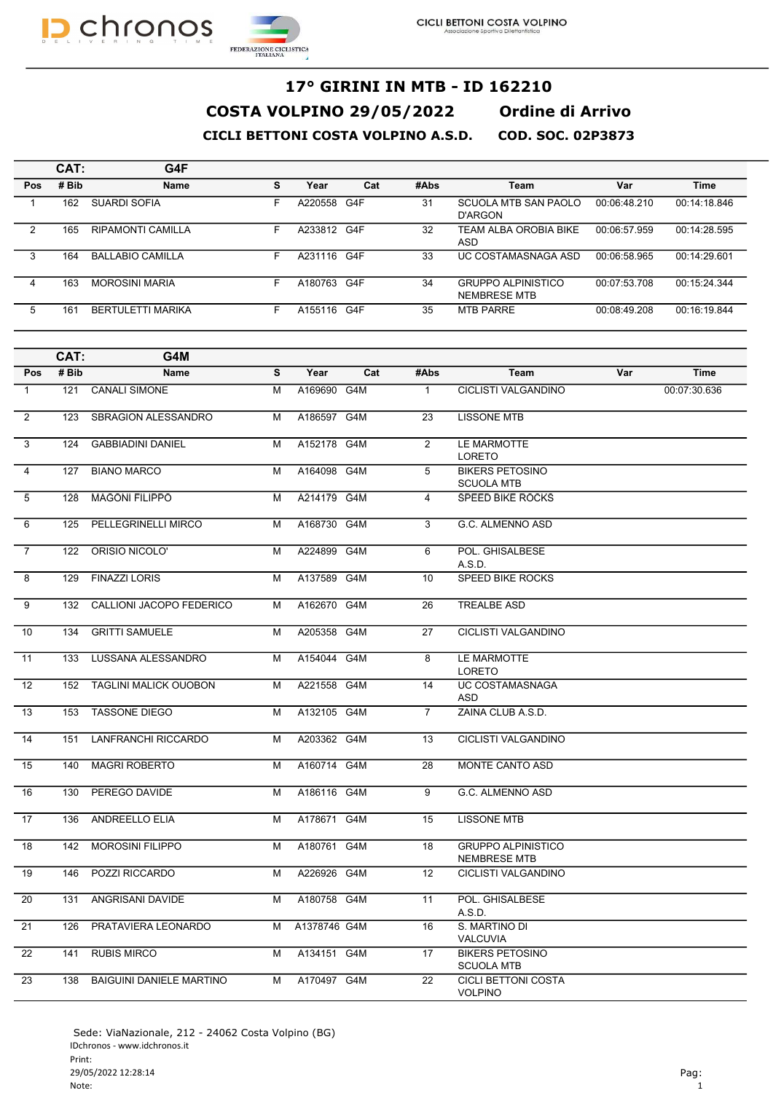



|            | CAT:  | G4F                      |   |             |     |      |                                                  |              |              |
|------------|-------|--------------------------|---|-------------|-----|------|--------------------------------------------------|--------------|--------------|
| <b>Pos</b> | # Bib | <b>Name</b>              | s | Year        | Cat | #Abs | Team                                             | Var          | <b>Time</b>  |
|            | 162   | SUARDI SOFIA             | F | A220558     | G4F | 31   | <b>SCUOLA MTB SAN PAOLO</b><br>D'ARGON           | 00:06:48.210 | 00:14:18.846 |
| 2          | 165   | RIPAMONTI CAMILLA        | F | A233812 G4F |     | 32   | TEAM ALBA OROBIA BIKE<br>ASD                     | 00:06:57.959 | 00:14:28.595 |
| 3          | 164   | <b>BALLABIO CAMILLA</b>  | F | A231116 G4F |     | 33   | UC COSTAMASNAGA ASD                              | 00:06:58.965 | 00:14:29.601 |
| 4          | 163   | <b>MOROSINI MARIA</b>    | F | A180763     | G4F | 34   | <b>GRUPPO ALPINISTICO</b><br><b>NEMBRESE MTB</b> | 00:07:53.708 | 00:15:24.344 |
| 5          | 161   | <b>BERTULETTI MARIKA</b> | F | A155116     | G4F | 35   | <b>MTB PARRE</b>                                 | 00:08:49.208 | 00:16:19.844 |

|                | CAT:  | G4M                             |   |              |     |                |                                                  |     |              |
|----------------|-------|---------------------------------|---|--------------|-----|----------------|--------------------------------------------------|-----|--------------|
| Pos            | # Bib | <b>Name</b>                     | S | Year         | Cat | #Abs           | Team                                             | Var | <b>Time</b>  |
| $\mathbf{1}$   | 121   | <b>CANALI SIMONE</b>            | M | A169690 G4M  |     | $\mathbf{1}$   | <b>CICLISTI VALGANDINO</b>                       |     | 00:07:30.636 |
| 2              | 123   | <b>SBRAGION ALESSANDRO</b>      | M | A186597 G4M  |     | 23             | <b>LISSONE MTB</b>                               |     |              |
| 3              | 124   | <b>GABBIADINI DANIEL</b>        | M | A152178 G4M  |     | 2              | LE MARMOTTE<br>LORETO                            |     |              |
| $\overline{4}$ | 127   | <b>BIANO MARCO</b>              | M | A164098 G4M  |     | 5              | <b>BIKERS PETOSINO</b><br><b>SCUOLA MTB</b>      |     |              |
| $\overline{5}$ | 128   | <b>MAGONI FILIPPO</b>           | M | A214179 G4M  |     | $\overline{4}$ | <b>SPEED BIKE ROCKS</b>                          |     |              |
| 6              | 125   | PELLEGRINELLI MIRCO             | M | A168730 G4M  |     | 3              | G.C. ALMENNO ASD                                 |     |              |
| $\overline{7}$ | 122   | ORISIO NICOLO'                  | M | A224899 G4M  |     | 6              | POL. GHISALBESE<br>A.S.D.                        |     |              |
| 8              | 129   | <b>FINAZZI LORIS</b>            | M | A137589 G4M  |     | 10             | SPEED BIKE ROCKS                                 |     |              |
| 9              | 132   | CALLIONI JACOPO FEDERICO        | M | A162670 G4M  |     | 26             | <b>TREALBE ASD</b>                               |     |              |
| 10             | 134   | <b>GRITTI SAMUELE</b>           | M | A205358      | G4M | 27             | CICLISTI VALGANDINO                              |     |              |
| 11             | 133   | LUSSANA ALESSANDRO              | M | A154044 G4M  |     | 8              | LE MARMOTTE<br><b>LORETO</b>                     |     |              |
| 12             | 152   | <b>TAGLINI MALICK OUOBON</b>    | M | A221558 G4M  |     | 14             | <b>UC COSTAMASNAGA</b><br>ASD                    |     |              |
| 13             | 153   | <b>TASSONE DIEGO</b>            | M | A132105 G4M  |     | $\overline{7}$ | ZAINA CLUB A.S.D.                                |     |              |
| 14             | 151   | LANFRANCHI RICCARDO             | M | A203362 G4M  |     | 13             | CICLISTI VALGANDINO                              |     |              |
| 15             | 140   | <b>MAGRI ROBERTO</b>            | M | A160714 G4M  |     | 28             | <b>MONTE CANTO ASD</b>                           |     |              |
| 16             | 130   | PEREGO DAVIDE                   | M | A186116 G4M  |     | 9              | G.C. ALMENNO ASD                                 |     |              |
| 17             | 136   | <b>ANDREELLO ELIA</b>           | M | A178671 G4M  |     | 15             | <b>LISSONE MTB</b>                               |     |              |
| 18             | 142   | <b>MOROSINI FILIPPO</b>         | M | A180761 G4M  |     | 18             | <b>GRUPPO ALPINISTICO</b><br><b>NEMBRESE MTB</b> |     |              |
| 19             | 146   | POZZI RICCARDO                  | M | A226926 G4M  |     | 12             | CICLISTI VALGANDINO                              |     |              |
| 20             | 131   | ANGRISANI DAVIDE                | M | A180758 G4M  |     | 11             | POL. GHISALBESE<br>A.S.D.                        |     |              |
| 21             | 126   | PRATAVIERA LEONARDO             | М | A1378746 G4M |     | 16             | S. MARTINO DI<br><b>VALCUVIA</b>                 |     |              |
| 22             | 141   | <b>RUBIS MIRCO</b>              | M | A134151 G4M  |     | 17             | <b>BIKERS PETOSINO</b><br><b>SCUOLA MTB</b>      |     |              |
| 23             | 138   | <b>BAIGUINI DANIELE MARTINO</b> | M | A170497 G4M  |     | 22             | <b>CICLI BETTONI COSTA</b><br><b>VOLPINO</b>     |     |              |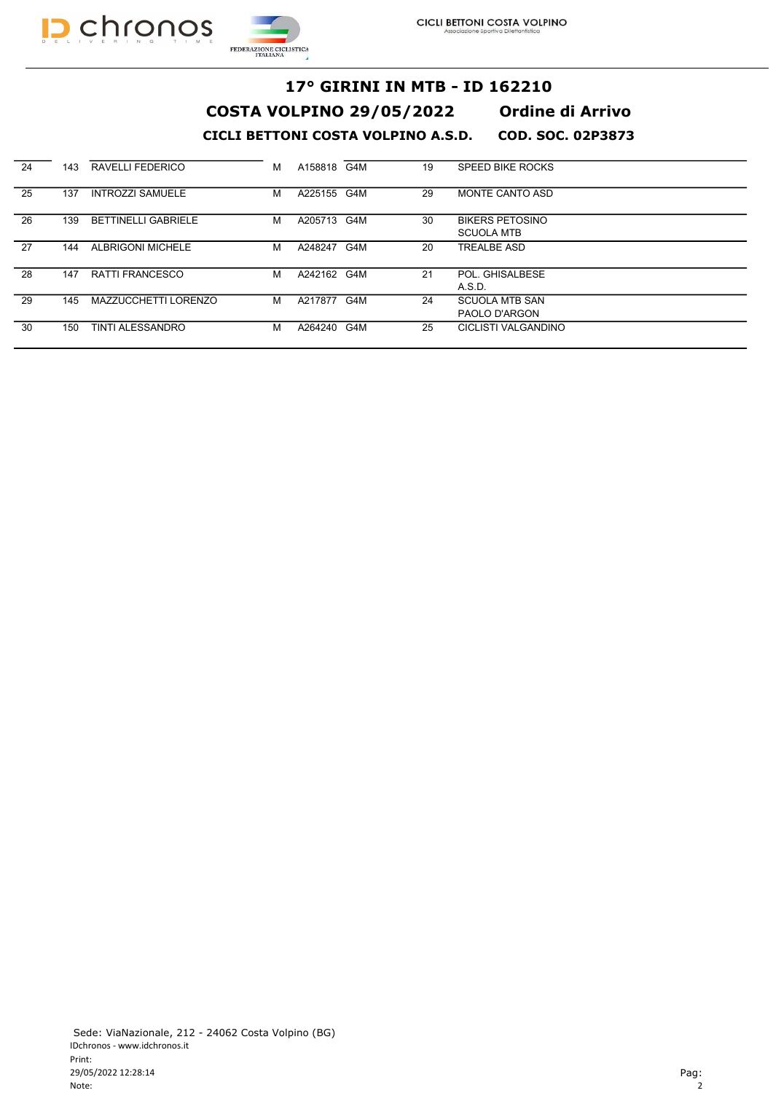



| 24 | 143 | RAVELLI FEDERICO            | м | A158818 G4M |     | 19 | SPEED BIKE ROCKS       |
|----|-----|-----------------------------|---|-------------|-----|----|------------------------|
| 25 | 137 | <b>INTROZZI SAMUELE</b>     | м | A225155 G4M |     | 29 | <b>MONTE CANTO ASD</b> |
| 26 | 139 | <b>BETTINELLI GABRIELE</b>  | м | A205713 G4M |     | 30 | <b>BIKERS PETOSINO</b> |
|    |     |                             |   |             |     |    | <b>SCUOLA MTB</b>      |
| 27 | 144 | <b>ALBRIGONI MICHELE</b>    | м | A248247     | G4M | 20 | <b>TREALBE ASD</b>     |
| 28 | 147 | RATTI FRANCESCO             | М | A242162 G4M |     | 21 | POL. GHISALBESE        |
|    |     |                             |   |             |     |    | A.S.D.                 |
| 29 | 145 | <b>MAZZUCCHETTI LORENZO</b> | м | A217877     | G4M | 24 | <b>SCUOLA MTB SAN</b>  |
|    |     |                             |   |             |     |    | PAOLO D'ARGON          |
| 30 | 150 | TINTI ALESSANDRO            | М | A264240 G4M |     | 25 | CICLISTI VALGANDINO    |
|    |     |                             |   |             |     |    |                        |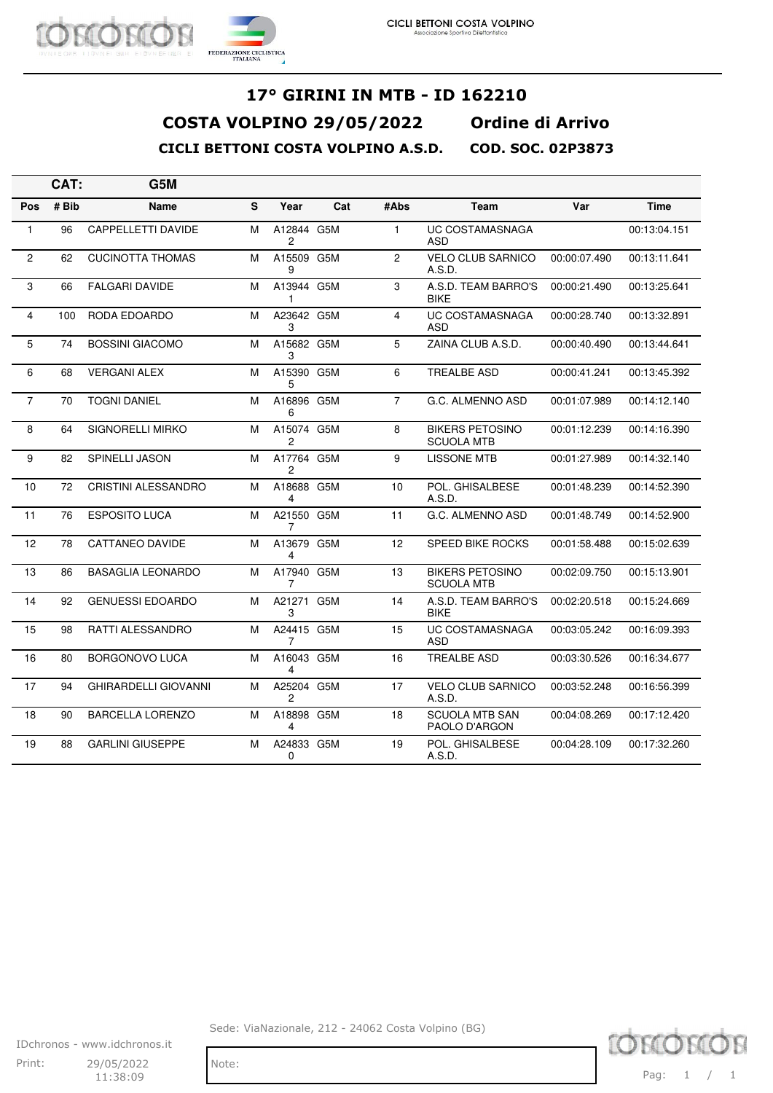

|                | CAT:  | G5M                         |   |                              |     |                |                                             |              |              |
|----------------|-------|-----------------------------|---|------------------------------|-----|----------------|---------------------------------------------|--------------|--------------|
| <b>Pos</b>     | # Bib | <b>Name</b>                 | S | Year                         | Cat | #Abs           | Team                                        | Var          | <b>Time</b>  |
| $\mathbf{1}$   | 96    | <b>CAPPELLETTI DAVIDE</b>   | м | A12844 G5M<br>2              |     | $\mathbf{1}$   | <b>UC COSTAMASNAGA</b><br>ASD               |              | 00:13:04.151 |
| $\overline{2}$ | 62    | <b>CUCINOTTA THOMAS</b>     | м | A15509 G5M<br>9              |     | 2              | <b>VELO CLUB SARNICO</b><br>A.S.D.          | 00:00:07.490 | 00:13:11.641 |
| 3              | 66    | <b>FALGARI DAVIDE</b>       | м | A13944 G5M<br>1              |     | 3              | A.S.D. TEAM BARRO'S<br><b>BIKE</b>          | 00:00:21.490 | 00:13:25.641 |
| 4              | 100   | RODA EDOARDO                | м | A23642 G5M<br>3              |     | 4              | <b>UC COSTAMASNAGA</b><br><b>ASD</b>        | 00:00:28.740 | 00:13:32.891 |
| 5              | 74    | <b>BOSSINI GIACOMO</b>      | м | A15682 G5M<br>3              |     | 5              | ZAINA CLUB A.S.D.                           | 00:00:40.490 | 00:13:44.641 |
| 6              | 68    | <b>VERGANI ALEX</b>         | M | A15390 G5M<br>5              |     | 6              | <b>TREALBE ASD</b>                          | 00:00:41.241 | 00:13:45.392 |
| $\overline{7}$ | 70    | <b>TOGNI DANIEL</b>         | м | A16896 G5M<br>6              |     | $\overline{7}$ | G.C. ALMENNO ASD                            | 00:01:07.989 | 00:14:12.140 |
| 8              | 64    | <b>SIGNORELLI MIRKO</b>     | м | A15074 G5M<br>2              |     | 8              | <b>BIKERS PETOSINO</b><br><b>SCUOLA MTB</b> | 00:01:12.239 | 00:14:16.390 |
| 9              | 82    | <b>SPINELLI JASON</b>       | м | A17764 G5M<br>2              |     | 9              | <b>LISSONE MTB</b>                          | 00:01:27.989 | 00:14:32.140 |
| 10             | 72    | <b>CRISTINI ALESSANDRO</b>  | м | A18688 G5M<br>4              |     | 10             | POL. GHISALBESE<br>A.S.D.                   | 00:01:48.239 | 00:14:52.390 |
| 11             | 76    | <b>ESPOSITO LUCA</b>        | м | A21550 G5M<br>7              |     | 11             | G.C. ALMENNO ASD                            | 00:01:48.749 | 00:14:52.900 |
| 12             | 78    | CATTANEO DAVIDE             | м | A13679 G5M<br>4              |     | 12             | SPEED BIKE ROCKS                            | 00:01:58.488 | 00:15:02.639 |
| 13             | 86    | <b>BASAGLIA LEONARDO</b>    | м | A17940 G5M<br>$\overline{7}$ |     | 13             | <b>BIKERS PETOSINO</b><br><b>SCUOLA MTB</b> | 00:02:09.750 | 00:15:13.901 |
| 14             | 92    | <b>GENUESSI EDOARDO</b>     | м | A21271 G5M<br>3              |     | 14             | A.S.D. TEAM BARRO'S<br><b>BIKE</b>          | 00:02:20.518 | 00:15:24.669 |
| 15             | 98    | <b>RATTI ALESSANDRO</b>     | м | A24415 G5M<br>7              |     | 15             | <b>UC COSTAMASNAGA</b><br><b>ASD</b>        | 00:03:05.242 | 00:16:09.393 |
| 16             | 80    | <b>BORGONOVO LUCA</b>       | м | A16043 G5M<br>4              |     | 16             | <b>TREALBE ASD</b>                          | 00:03:30.526 | 00:16:34.677 |
| 17             | 94    | <b>GHIRARDELLI GIOVANNI</b> | м | A25204 G5M<br>$\mathbf{2}$   |     | 17             | <b>VELO CLUB SARNICO</b><br>A.S.D.          | 00:03:52.248 | 00:16:56.399 |
| 18             | 90    | <b>BARCELLA LORENZO</b>     | м | A18898 G5M<br>4              |     | 18             | <b>SCUOLA MTB SAN</b><br>PAOLO D'ARGON      | 00:04:08.269 | 00:17:12.420 |
| 19             | 88    | <b>GARLINI GIUSEPPE</b>     | м | A24833 G5M<br>0              |     | 19             | POL. GHISALBESE<br>A.S.D.                   | 00:04:28.109 | 00:17:32.260 |

Sede: ViaNazionale, 212 - 24062 Costa Volpino (BG)

IDchronos - www.idchronos.it Print: 29/05/2022 Note:  $11:38:09$ 

TO ORIOR

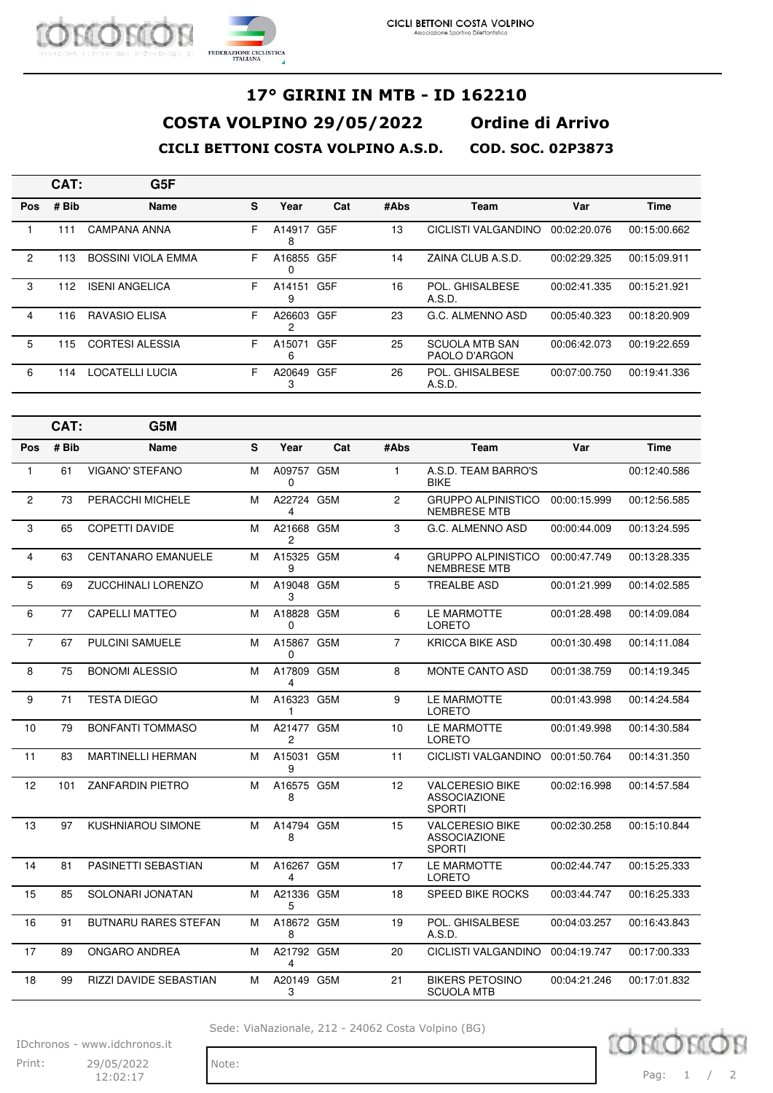

|                | CAT:  | G5F                       |    |             |     |      |                                        |              |              |
|----------------|-------|---------------------------|----|-------------|-----|------|----------------------------------------|--------------|--------------|
| <b>Pos</b>     | # Bib | <b>Name</b>               | s  | Year        | Cat | #Abs | Team                                   | Var          | <b>Time</b>  |
|                | 111   | <b>CAMPANA ANNA</b>       | F. | A14917<br>8 | G5F | 13   | CICLISTI VALGANDINO                    | 00:02:20.076 | 00:15:00.662 |
| $\overline{2}$ | 113   | <b>BOSSINI VIOLA EMMA</b> | F  | A16855<br>0 | G5F | 14   | ZAINA CLUB A.S.D.                      | 00:02:29.325 | 00:15:09.911 |
| 3              | 112   | <b>ISENI ANGELICA</b>     | F  | A14151<br>9 | G5F | 16   | POL. GHISALBESE<br>A.S.D.              | 00:02:41.335 | 00:15:21.921 |
| 4              | 116   | <b>RAVASIO ELISA</b>      | F  | A26603<br>2 | G5F | 23   | G.C. ALMENNO ASD                       | 00:05:40.323 | 00:18:20.909 |
| 5              | 115   | <b>CORTESI ALESSIA</b>    | F  | A15071<br>6 | G5F | 25   | <b>SCUOLA MTB SAN</b><br>PAOLO D'ARGON | 00:06:42.073 | 00:19:22.659 |
| 6              | 114   | LOCATELLI LUCIA           | F  | A20649<br>3 | G5F | 26   | POL. GHISALBESE<br>A.S.D.              | 00:07:00.750 | 00:19:41.336 |

|              | CAT:  | G5M                         |   |                              |     |                |                                                                |              |              |
|--------------|-------|-----------------------------|---|------------------------------|-----|----------------|----------------------------------------------------------------|--------------|--------------|
| Pos          | # Bib | <b>Name</b>                 | S | Year                         | Cat | #Abs           | Team                                                           | Var          | <b>Time</b>  |
| $\mathbf{1}$ | 61    | <b>VIGANO' STEFANO</b>      | M | A09757 G5M<br>0              |     | $\mathbf{1}$   | A.S.D. TEAM BARRO'S<br><b>BIKE</b>                             |              | 00:12:40.586 |
| 2            | 73    | PERACCHI MICHELE            | м | A22724 G5M<br>4              |     | $\overline{2}$ | <b>GRUPPO ALPINISTICO</b><br><b>NEMBRESE MTB</b>               | 00:00:15.999 | 00:12:56.585 |
| 3            | 65    | <b>COPETTI DAVIDE</b>       | м | A21668 G5M<br>$\overline{c}$ |     | 3              | G.C. ALMENNO ASD                                               | 00:00:44.009 | 00:13:24.595 |
| 4            | 63    | <b>CENTANARO EMANUELE</b>   | м | A15325 G5M<br>9              |     | 4              | <b>GRUPPO ALPINISTICO</b><br><b>NEMBRESE MTB</b>               | 00:00:47.749 | 00:13:28.335 |
| 5            | 69    | <b>ZUCCHINALI LORENZO</b>   | м | A19048 G5M<br>3              |     | 5              | <b>TREALBE ASD</b>                                             | 00:01:21.999 | 00:14:02.585 |
| 6            | 77    | <b>CAPELLI MATTEO</b>       | м | A18828 G5M<br>$\Omega$       |     | 6              | LE MARMOTTE<br><b>LORETO</b>                                   | 00:01:28.498 | 00:14:09.084 |
| 7            | 67    | PULCINI SAMUELE             | М | A15867 G5M<br>0              |     | $\overline{7}$ | <b>KRICCA BIKE ASD</b>                                         | 00:01:30.498 | 00:14:11.084 |
| 8            | 75    | <b>BONOMI ALESSIO</b>       | М | A17809 G5M<br>4              |     | 8              | MONTE CANTO ASD                                                | 00:01:38.759 | 00:14:19.345 |
| 9            | 71    | <b>TESTA DIEGO</b>          | м | A16323 G5M<br>1              |     | 9              | <b>LE MARMOTTE</b><br><b>LORETO</b>                            | 00:01:43.998 | 00:14:24.584 |
| 10           | 79    | <b>BONFANTI TOMMASO</b>     | м | A21477 G5M<br>2              |     | 10             | LE MARMOTTE<br><b>LORETO</b>                                   | 00:01:49.998 | 00:14:30.584 |
| 11           | 83    | <b>MARTINELLI HERMAN</b>    | M | A15031 G5M<br>9              |     | 11             | <b>CICLISTI VALGANDINO</b>                                     | 00:01:50.764 | 00:14:31.350 |
| 12           | 101   | <b>ZANFARDIN PIETRO</b>     | м | A16575 G5M<br>8              |     | 12             | <b>VALCERESIO BIKE</b><br><b>ASSOCIAZIONE</b><br><b>SPORTI</b> | 00:02:16.998 | 00:14:57.584 |
| 13           | 97    | <b>KUSHNIAROU SIMONE</b>    | м | A14794 G5M<br>8              |     | 15             | <b>VALCERESIO BIKE</b><br><b>ASSOCIAZIONE</b><br><b>SPORTI</b> | 00:02:30.258 | 00:15:10.844 |
| 14           | 81    | PASINETTI SEBASTIAN         | м | A16267 G5M<br>4              |     | 17             | LE MARMOTTE<br><b>LORETO</b>                                   | 00:02:44.747 | 00:15:25.333 |
| 15           | 85    | SOLONARI JONATAN            | м | A21336 G5M<br>5              |     | 18             | <b>SPEED BIKE ROCKS</b>                                        | 00:03:44.747 | 00:16:25.333 |
| 16           | 91    | <b>BUTNARU RARES STEFAN</b> | м | A18672 G5M<br>8              |     | 19             | POL. GHISALBESE<br>A.S.D.                                      | 00:04:03.257 | 00:16:43.843 |
| 17           | 89    | ONGARO ANDREA               | M | A21792 G5M<br>4              |     | 20             | CICLISTI VALGANDINO                                            | 00:04:19.747 | 00:17:00.333 |
| 18           | 99    | RIZZI DAVIDE SEBASTIAN      | м | A20149 G5M<br>3              |     | 21             | <b>BIKERS PETOSINO</b><br><b>SCUOLA MTB</b>                    | 00:04:21.246 | 00:17:01.832 |

Sede: ViaNazionale, 212 - 24062 Costa Volpino (BG)

IDchronos - www.idchronos.it Print: 29/05/2022 Note:

12:02:17

10 Pag: 1 / 2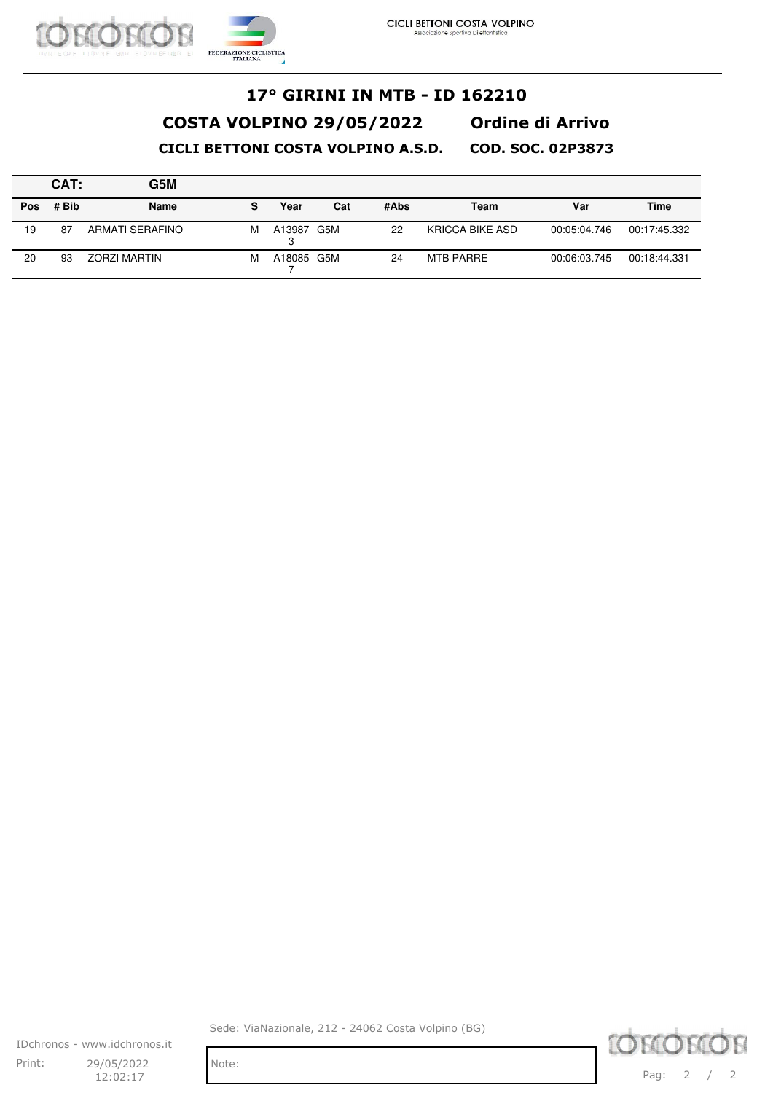

|            | CAT:  | G5M                 |   |            |     |      |                 |              |              |
|------------|-------|---------------------|---|------------|-----|------|-----------------|--------------|--------------|
| <b>Pos</b> | # Bib | <b>Name</b>         | s | Year       | Cat | #Abs | Team            | Var          | Time         |
| 19         | 87    | ARMATI SERAFINO     | М | A13987 G5M |     | 22   | KRICCA BIKE ASD | 00:05:04.746 | 00:17:45.332 |
| 20         | 93    | <b>ZORZI MARTIN</b> | М | A18085 G5M |     | 24   | MTB PARRE       | 00:06:03.745 | 00:18:44.331 |

IDchronos - www.idchronos.it Print: 29/05/2022 Note: 12:02:17

Sede: ViaNazionale, 212 - 24062 Costa Volpino (BG)

**LORIORIOR** Pag: 2 / 2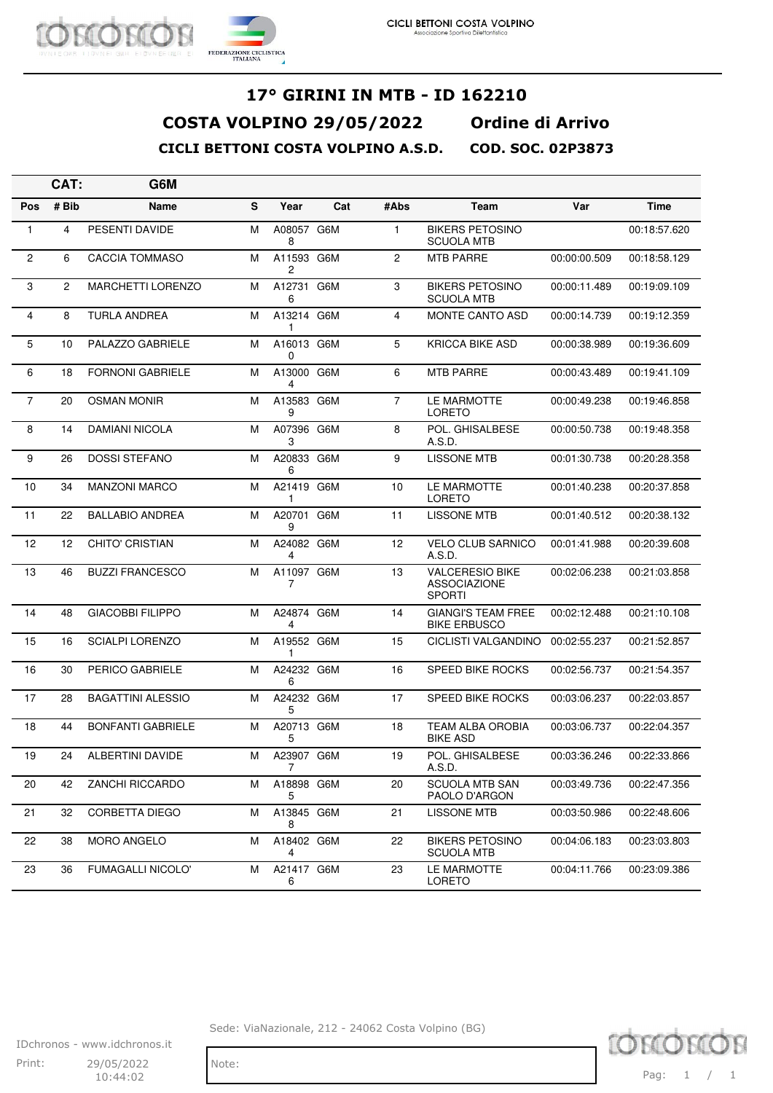

|                 | CAT:         | G6M                      |   |                 |     |                |                                                                |              |              |
|-----------------|--------------|--------------------------|---|-----------------|-----|----------------|----------------------------------------------------------------|--------------|--------------|
| Pos             | # Bib        | Name                     | S | Year            | Cat | #Abs           | Team                                                           | Var          | <b>Time</b>  |
| $\mathbf{1}$    | 4            | PESENTI DAVIDE           | м | A08057 G6M<br>8 |     | $\mathbf{1}$   | <b>BIKERS PETOSINO</b><br><b>SCUOLA MTB</b>                    |              | 00:18:57.620 |
| $\mathbf{2}$    | 6            | <b>CACCIA TOMMASO</b>    | М | A11593 G6M<br>2 |     | 2              | <b>MTB PARRE</b>                                               | 00:00:00.509 | 00:18:58.129 |
| 3               | $\mathbf{2}$ | <b>MARCHETTI LORENZO</b> | м | A12731 G6M<br>6 |     | 3              | <b>BIKERS PETOSINO</b><br><b>SCUOLA MTB</b>                    | 00:00:11.489 | 00:19:09.109 |
| 4               | 8            | TURLA ANDREA             | м | A13214 G6M<br>1 |     | 4              | <b>MONTE CANTO ASD</b>                                         | 00:00:14.739 | 00:19:12.359 |
| $5\phantom{.0}$ | 10           | PALAZZO GABRIELE         | М | A16013 G6M<br>0 |     | 5              | <b>KRICCA BIKE ASD</b>                                         | 00:00:38.989 | 00:19:36.609 |
| 6               | 18           | <b>FORNONI GABRIELE</b>  | м | A13000 G6M<br>4 |     | 6              | <b>MTB PARRE</b>                                               | 00:00:43.489 | 00:19:41.109 |
| $\overline{7}$  | 20           | <b>OSMAN MONIR</b>       | м | A13583 G6M<br>9 |     | $\overline{7}$ | LE MARMOTTE<br>LORETO                                          | 00:00:49.238 | 00:19:46.858 |
| 8               | 14           | <b>DAMIANI NICOLA</b>    | M | A07396 G6M<br>3 |     | 8              | POL. GHISALBESE<br>A.S.D.                                      | 00:00:50.738 | 00:19:48.358 |
| 9               | 26           | <b>DOSSI STEFANO</b>     | м | A20833 G6M<br>6 |     | 9              | <b>LISSONE MTB</b>                                             | 00:01:30.738 | 00:20:28.358 |
| 10              | 34           | <b>MANZONI MARCO</b>     | м | A21419 G6M<br>1 |     | 10             | LE MARMOTTE<br>LORETO                                          | 00:01:40.238 | 00:20:37.858 |
| 11              | 22           | <b>BALLABIO ANDREA</b>   | м | A20701 G6M<br>9 |     | 11             | <b>LISSONE MTB</b>                                             | 00:01:40.512 | 00:20:38.132 |
| 12              | 12           | <b>CHITO' CRISTIAN</b>   | м | A24082 G6M<br>4 |     | 12             | <b>VELO CLUB SARNICO</b><br>A.S.D.                             | 00:01:41.988 | 00:20:39.608 |
| 13              | 46           | <b>BUZZI FRANCESCO</b>   | м | A11097 G6M<br>7 |     | 13             | <b>VALCERESIO BIKE</b><br><b>ASSOCIAZIONE</b><br><b>SPORTI</b> | 00:02:06.238 | 00:21:03.858 |
| 14              | 48           | <b>GIACOBBI FILIPPO</b>  | м | A24874 G6M<br>4 |     | 14             | <b>GIANGI'S TEAM FREE</b><br><b>BIKE ERBUSCO</b>               | 00:02:12.488 | 00:21:10.108 |
| 15              | 16           | <b>SCIALPI LORENZO</b>   | м | A19552 G6M<br>1 |     | 15             | CICLISTI VALGANDINO                                            | 00:02:55.237 | 00:21:52.857 |
| 16              | 30           | PERICO GABRIELE          | м | A24232 G6M<br>6 |     | 16             | <b>SPEED BIKE ROCKS</b>                                        | 00:02:56.737 | 00:21:54.357 |
| 17              | 28           | <b>BAGATTINI ALESSIO</b> | м | A24232 G6M<br>5 |     | 17             | SPEED BIKE ROCKS                                               | 00:03:06.237 | 00:22:03.857 |
| 18              | 44           | <b>BONFANTI GABRIELE</b> | м | A20713 G6M<br>5 |     | 18             | <b>TEAM ALBA OROBIA</b><br><b>BIKE ASD</b>                     | 00:03:06.737 | 00:22:04.357 |
| 19              | 24           | ALBERTINI DAVIDE         | М | A23907 G6M<br>7 |     | 19             | POL. GHISALBESE<br>A.S.D.                                      | 00:03:36.246 | 00:22:33.866 |
| 20              | 42           | ZANCHI RICCARDO          | м | A18898 G6M<br>5 |     | 20             | <b>SCUOLA MTB SAN</b><br>PAOLO D'ARGON                         | 00:03:49.736 | 00:22:47.356 |
| 21              | 32           | CORBETTA DIEGO           | м | A13845 G6M<br>8 |     | 21             | <b>LISSONE MTB</b>                                             | 00:03:50.986 | 00:22:48.606 |
| 22              | 38           | <b>MORO ANGELO</b>       | м | A18402 G6M<br>4 |     | 22             | <b>BIKERS PETOSINO</b><br><b>SCUOLA MTB</b>                    | 00:04:06.183 | 00:23:03.803 |
| 23              | 36           | <b>FUMAGALLI NICOLO'</b> | м | A21417 G6M<br>6 |     | 23             | LE MARMOTTE<br>LORETO                                          | 00:04:11.766 | 00:23:09.386 |

Sede: ViaNazionale, 212 - 24062 Costa Volpino (BG)

IDchronos - www.idchronos.it Print: 29/05/2022 Note: 10:44:02

Pag: 1 / 1

10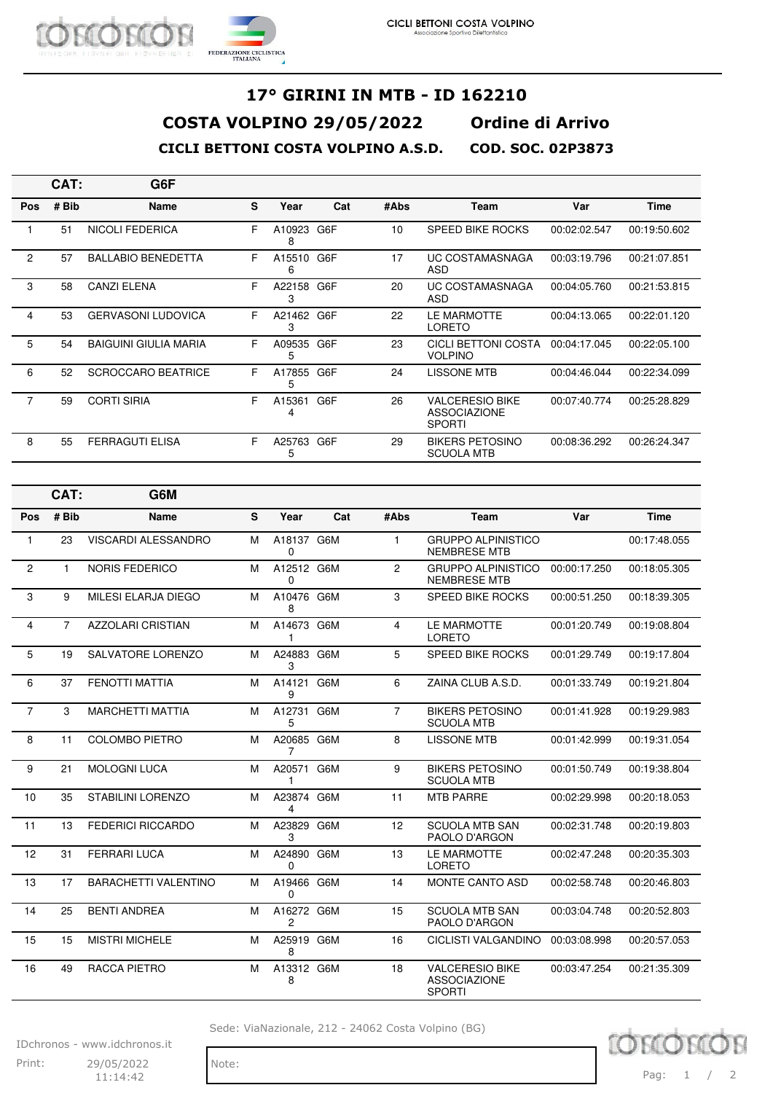

|                | CAT:  | G6F                          |    |             |     |      |                                                                |              |              |
|----------------|-------|------------------------------|----|-------------|-----|------|----------------------------------------------------------------|--------------|--------------|
| <b>Pos</b>     | # Bib | <b>Name</b>                  | S. | Year        | Cat | #Abs | Team                                                           | Var          | Time         |
|                | 51    | <b>NICOLI FEDERICA</b>       | F  | A10923<br>8 | G6F | 10   | <b>SPEED BIKE ROCKS</b>                                        | 00:02:02.547 | 00:19:50.602 |
| $\overline{2}$ | 57    | <b>BALLABIO BENEDETTA</b>    | F  | A15510<br>6 | G6F | 17   | <b>UC COSTAMASNAGA</b><br>ASD                                  | 00:03:19.796 | 00:21:07.851 |
| 3              | 58    | <b>CANZI ELENA</b>           | F  | A22158<br>3 | G6F | 20   | UC COSTAMASNAGA<br>ASD                                         | 00:04:05.760 | 00:21:53.815 |
| 4              | 53    | <b>GERVASONI LUDOVICA</b>    | F. | A21462<br>3 | G6F | 22   | LE MARMOTTE<br><b>LORETO</b>                                   | 00:04:13.065 | 00:22:01.120 |
| 5              | 54    | <b>BAIGUINI GIULIA MARIA</b> | F  | A09535<br>5 | G6F | 23   | CICLI BETTONI COSTA<br><b>VOLPINO</b>                          | 00:04:17.045 | 00:22:05.100 |
| 6              | 52    | <b>SCROCCARO BEATRICE</b>    | F  | A17855<br>5 | G6F | 24   | <b>LISSONE MTB</b>                                             | 00:04:46.044 | 00:22:34.099 |
| $\overline{7}$ | 59    | <b>CORTI SIRIA</b>           | F  | A15361<br>4 | G6F | 26   | <b>VALCERESIO BIKE</b><br><b>ASSOCIAZIONE</b><br><b>SPORTI</b> | 00:07:40.774 | 00:25:28.829 |
| 8              | 55    | <b>FERRAGUTI ELISA</b>       | F. | A25763<br>5 | G6F | 29   | <b>BIKERS PETOSINO</b><br><b>SCUOLA MTB</b>                    | 00:08:36.292 | 00:26:24.347 |

|                | CAT:           | G6M                         |   |                        |     |                |                                                                |              |              |
|----------------|----------------|-----------------------------|---|------------------------|-----|----------------|----------------------------------------------------------------|--------------|--------------|
| Pos            | # Bib          | <b>Name</b>                 | S | Year                   | Cat | #Abs           | <b>Team</b>                                                    | Var          | <b>Time</b>  |
| 1              | 23             | <b>VISCARDI ALESSANDRO</b>  | M | A18137 G6M<br>0        |     | $\mathbf{1}$   | <b>GRUPPO ALPINISTICO</b><br><b>NEMBRESE MTB</b>               |              | 00:17:48.055 |
| $\overline{c}$ | $\mathbf{1}$   | <b>NORIS FEDERICO</b>       | M | A12512 G6M<br>0        |     | 2              | <b>GRUPPO ALPINISTICO</b><br><b>NEMBRESE MTB</b>               | 00:00:17.250 | 00:18:05.305 |
| 3              | 9              | MILESI ELARJA DIEGO         | М | A10476 G6M<br>8        |     | 3              | <b>SPEED BIKE ROCKS</b>                                        | 00:00:51.250 | 00:18:39.305 |
| 4              | $\overline{7}$ | <b>AZZOLARI CRISTIAN</b>    | M | A14673 G6M<br>1        |     | $\overline{4}$ | LE MARMOTTE<br>LORETO                                          | 00:01:20.749 | 00:19:08.804 |
| 5              | 19             | SALVATORE LORENZO           | М | A24883 G6M<br>3        |     | 5              | <b>SPEED BIKE ROCKS</b>                                        | 00:01:29.749 | 00:19:17.804 |
| 6              | 37             | <b>FENOTTI MATTIA</b>       | M | A14121 G6M<br>9        |     | 6              | ZAINA CLUB A.S.D.                                              | 00:01:33.749 | 00:19:21.804 |
| $\overline{7}$ | 3              | <b>MARCHETTI MATTIA</b>     | М | A12731 G6M<br>5        |     | $\overline{7}$ | <b>BIKERS PETOSINO</b><br><b>SCUOLA MTB</b>                    | 00:01:41.928 | 00:19:29.983 |
| 8              | 11             | <b>COLOMBO PIETRO</b>       | м | A20685 G6M<br>7        |     | 8              | <b>LISSONE MTB</b>                                             | 00:01:42.999 | 00:19:31.054 |
| 9              | 21             | <b>MOLOGNI LUCA</b>         | M | A20571                 | G6M | 9              | <b>BIKERS PETOSINO</b><br><b>SCUOLA MTB</b>                    | 00:01:50.749 | 00:19:38.804 |
| 10             | 35             | <b>STABILINI LORENZO</b>    | м | A23874 G6M<br>4        |     | 11             | <b>MTB PARRE</b>                                               | 00:02:29.998 | 00:20:18.053 |
| 11             | 13             | <b>FEDERICI RICCARDO</b>    | M | A23829<br>3            | G6M | 12             | <b>SCUOLA MTB SAN</b><br>PAOLO D'ARGON                         | 00:02:31.748 | 00:20:19.803 |
| 12             | 31             | <b>FERRARI LUCA</b>         | M | A24890 G6M<br>$\Omega$ |     | 13             | LE MARMOTTE<br><b>LORETO</b>                                   | 00:02:47.248 | 00:20:35.303 |
| 13             | 17             | <b>BARACHETTI VALENTINO</b> | м | A19466 G6M<br>0        |     | 14             | <b>MONTE CANTO ASD</b>                                         | 00:02:58.748 | 00:20:46.803 |
| 14             | 25             | <b>BENTI ANDREA</b>         | M | A16272 G6M<br>2        |     | 15             | <b>SCUOLA MTB SAN</b><br>PAOLO D'ARGON                         | 00:03:04.748 | 00:20:52.803 |
| 15             | 15             | <b>MISTRI MICHELE</b>       | М | A25919 G6M<br>8        |     | 16             | <b>CICLISTI VALGANDINO</b>                                     | 00:03:08.998 | 00:20:57.053 |
| 16             | 49             | RACCA PIETRO                | M | A13312 G6M<br>8        |     | 18             | <b>VALCERESIO BIKE</b><br><b>ASSOCIAZIONE</b><br><b>SPORTI</b> | 00:03:47.254 | 00:21:35.309 |

Sede: ViaNazionale, 212 - 24062 Costa Volpino (BG)

IDchronos - www.idchronos.it Print: 29/05/2022 Note: 11:14:42

TOM Pag: 1 / 2